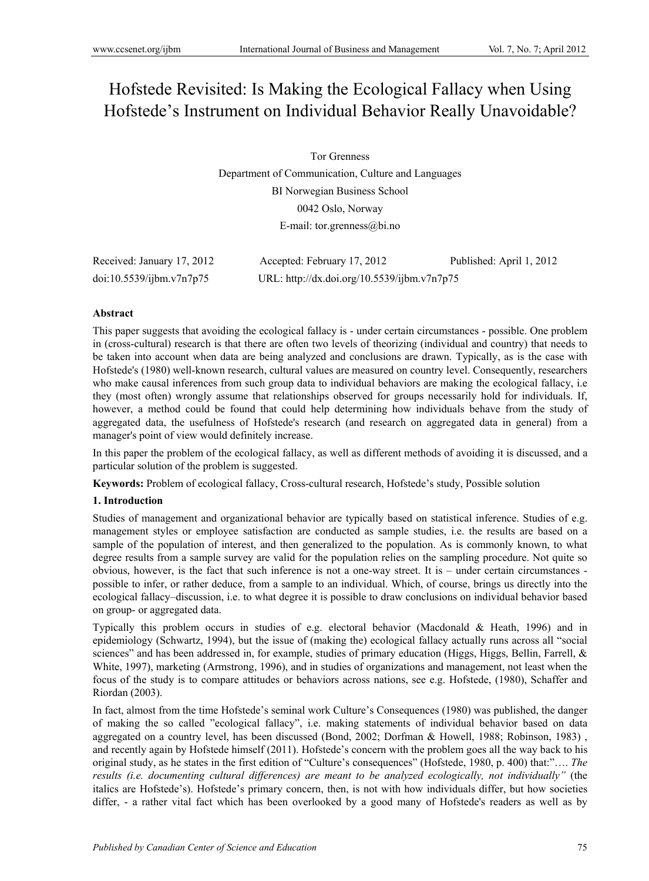# Hofstede Revisited: Is Making the Ecological Fallacy when Using Hofstede's Instrument on Individual Behavior Really Unavoidable?

Tor Grenness Department of Communication, Culture and Languages BI Norwegian Business School 0042 Oslo, Norway E-mail: tor.grenness@bi.no

| Received: January 17, 2012 | Accepted: February 17, 2012                 | Published: April 1, 2012 |
|----------------------------|---------------------------------------------|--------------------------|
| doi:10.5539/ijbm.v7n7p75   | URL: http://dx.doi.org/10.5539/ijbm.v7n7p75 |                          |

## **Abstract**

This paper suggests that avoiding the ecological fallacy is - under certain circumstances - possible. One problem in (cross-cultural) research is that there are often two levels of theorizing (individual and country) that needs to be taken into account when data are being analyzed and conclusions are drawn. Typically, as is the case with Hofstede's (1980) well-known research, cultural values are measured on country level. Consequently, researchers who make causal inferences from such group data to individual behaviors are making the ecological fallacy, i.e they (most often) wrongly assume that relationships observed for groups necessarily hold for individuals. If, however, a method could be found that could help determining how individuals behave from the study of aggregated data, the usefulness of Hofstede's research (and research on aggregated data in general) from a manager's point of view would definitely increase.

In this paper the problem of the ecological fallacy, as well as different methods of avoiding it is discussed, and a particular solution of the problem is suggested.

**Keywords:** Problem of ecological fallacy, Cross-cultural research, Hofstede's study, Possible solution

# **1. Introduction**

Studies of management and organizational behavior are typically based on statistical inference. Studies of e.g. management styles or employee satisfaction are conducted as sample studies, i.e. the results are based on a sample of the population of interest, and then generalized to the population. As is commonly known, to what degree results from a sample survey are valid for the population relies on the sampling procedure. Not quite so obvious, however, is the fact that such inference is not a one-way street. It is – under certain circumstances possible to infer, or rather deduce, from a sample to an individual. Which, of course, brings us directly into the ecological fallacy–discussion, i.e. to what degree it is possible to draw conclusions on individual behavior based on group- or aggregated data.

Typically this problem occurs in studies of e.g. electoral behavior (Macdonald & Heath, 1996) and in epidemiology (Schwartz, 1994), but the issue of (making the) ecological fallacy actually runs across all "social sciences" and has been addressed in, for example, studies of primary education (Higgs, Higgs, Bellin, Farrell,  $\&$ White, 1997), marketing (Armstrong, 1996), and in studies of organizations and management, not least when the focus of the study is to compare attitudes or behaviors across nations, see e.g. Hofstede, (1980), Schaffer and Riordan (2003).

In fact, almost from the time Hofstede's seminal work Culture's Consequences (1980) was published, the danger of making the so called "ecological fallacy", i.e. making statements of individual behavior based on data aggregated on a country level, has been discussed (Bond, 2002; Dorfman & Howell, 1988; Robinson, 1983) , and recently again by Hofstede himself (2011). Hofstede's concern with the problem goes all the way back to his original study, as he states in the first edition of "Culture's consequences" (Hofstede, 1980, p. 400) that:"…. *The results (i.e. documenting cultural differences) are meant to be analyzed ecologically, not individually"* (the italics are Hofstede's). Hofstede's primary concern, then, is not with how individuals differ, but how societies differ, - a rather vital fact which has been overlooked by a good many of Hofstede's readers as well as by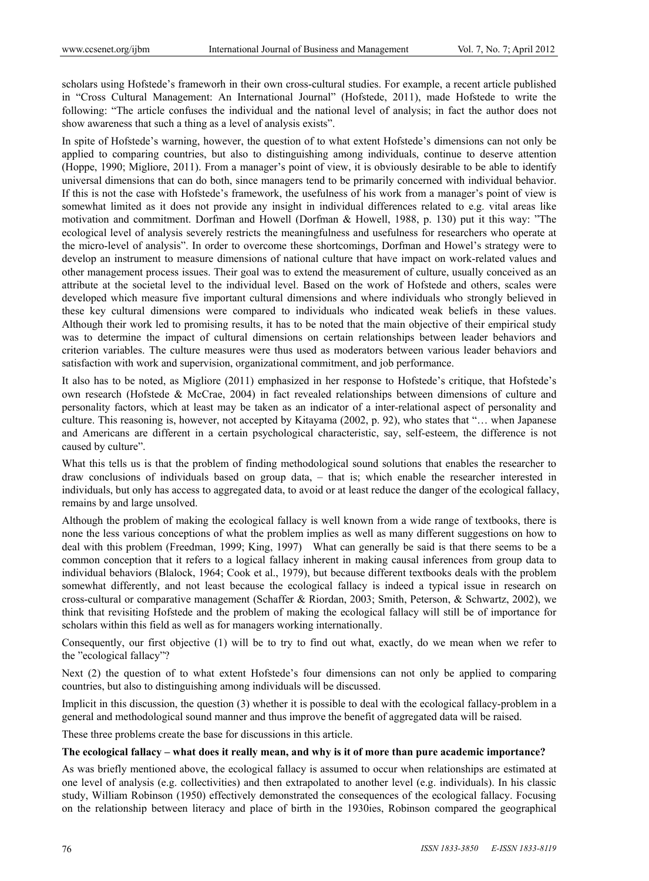scholars using Hofstede's frameworh in their own cross-cultural studies. For example, a recent article published in "Cross Cultural Management: An International Journal" (Hofstede, 2011), made Hofstede to write the following: "The article confuses the individual and the national level of analysis; in fact the author does not show awareness that such a thing as a level of analysis exists".

In spite of Hofstede's warning, however, the question of to what extent Hofstede's dimensions can not only be applied to comparing countries, but also to distinguishing among individuals, continue to deserve attention (Hoppe, 1990; Migliore, 2011). From a manager's point of view, it is obviously desirable to be able to identify universal dimensions that can do both, since managers tend to be primarily concerned with individual behavior. If this is not the case with Hofstede's framework, the usefulness of his work from a manager's point of view is somewhat limited as it does not provide any insight in individual differences related to e.g. vital areas like motivation and commitment. Dorfman and Howell (Dorfman & Howell, 1988, p. 130) put it this way: "The ecological level of analysis severely restricts the meaningfulness and usefulness for researchers who operate at the micro-level of analysis". In order to overcome these shortcomings, Dorfman and Howel's strategy were to develop an instrument to measure dimensions of national culture that have impact on work-related values and other management process issues. Their goal was to extend the measurement of culture, usually conceived as an attribute at the societal level to the individual level. Based on the work of Hofstede and others, scales were developed which measure five important cultural dimensions and where individuals who strongly believed in these key cultural dimensions were compared to individuals who indicated weak beliefs in these values. Although their work led to promising results, it has to be noted that the main objective of their empirical study was to determine the impact of cultural dimensions on certain relationships between leader behaviors and criterion variables. The culture measures were thus used as moderators between various leader behaviors and satisfaction with work and supervision, organizational commitment, and job performance.

It also has to be noted, as Migliore (2011) emphasized in her response to Hofstede's critique, that Hofstede's own research (Hofstede & McCrae, 2004) in fact revealed relationships between dimensions of culture and personality factors, which at least may be taken as an indicator of a inter-relational aspect of personality and culture. This reasoning is, however, not accepted by Kitayama (2002, p. 92), who states that "… when Japanese and Americans are different in a certain psychological characteristic, say, self-esteem, the difference is not caused by culture".

What this tells us is that the problem of finding methodological sound solutions that enables the researcher to draw conclusions of individuals based on group data, – that is; which enable the researcher interested in individuals, but only has access to aggregated data, to avoid or at least reduce the danger of the ecological fallacy, remains by and large unsolved.

Although the problem of making the ecological fallacy is well known from a wide range of textbooks, there is none the less various conceptions of what the problem implies as well as many different suggestions on how to deal with this problem (Freedman, 1999; King, 1997) What can generally be said is that there seems to be a common conception that it refers to a logical fallacy inherent in making causal inferences from group data to individual behaviors (Blalock, 1964; Cook et al., 1979), but because different textbooks deals with the problem somewhat differently, and not least because the ecological fallacy is indeed a typical issue in research on cross-cultural or comparative management (Schaffer & Riordan, 2003; Smith, Peterson, & Schwartz, 2002), we think that revisiting Hofstede and the problem of making the ecological fallacy will still be of importance for scholars within this field as well as for managers working internationally.

Consequently, our first objective (1) will be to try to find out what, exactly, do we mean when we refer to the "ecological fallacy"?

Next (2) the question of to what extent Hofstede's four dimensions can not only be applied to comparing countries, but also to distinguishing among individuals will be discussed.

Implicit in this discussion, the question (3) whether it is possible to deal with the ecological fallacy-problem in a general and methodological sound manner and thus improve the benefit of aggregated data will be raised.

These three problems create the base for discussions in this article.

## **The ecological fallacy – what does it really mean, and why is it of more than pure academic importance?**

As was briefly mentioned above, the ecological fallacy is assumed to occur when relationships are estimated at one level of analysis (e.g. collectivities) and then extrapolated to another level (e.g. individuals). In his classic study, William Robinson (1950) effectively demonstrated the consequences of the ecological fallacy. Focusing on the relationship between literacy and place of birth in the 1930ies, Robinson compared the geographical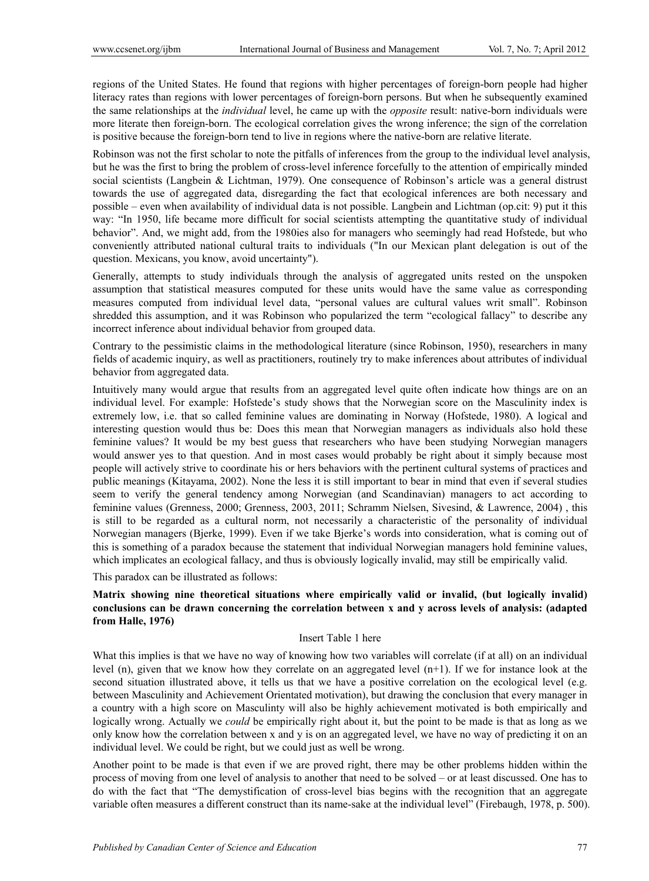regions of the United States. He found that regions with higher percentages of foreign-born people had higher literacy rates than regions with lower percentages of foreign-born persons. But when he subsequently examined the same relationships at the *individual* level, he came up with the *opposite* result: native-born individuals were more literate then foreign-born. The ecological correlation gives the wrong inference; the sign of the correlation is positive because the foreign-born tend to live in regions where the native-born are relative literate.

Robinson was not the first scholar to note the pitfalls of inferences from the group to the individual level analysis, but he was the first to bring the problem of cross-level inference forcefully to the attention of empirically minded social scientists (Langbein & Lichtman, 1979). One consequence of Robinson's article was a general distrust towards the use of aggregated data, disregarding the fact that ecological inferences are both necessary and possible – even when availability of individual data is not possible. Langbein and Lichtman (op.cit: 9) put it this way: "In 1950, life became more difficult for social scientists attempting the quantitative study of individual behavior". And, we might add, from the 1980ies also for managers who seemingly had read Hofstede, but who conveniently attributed national cultural traits to individuals ("In our Mexican plant delegation is out of the question. Mexicans, you know, avoid uncertainty").

Generally, attempts to study individuals through the analysis of aggregated units rested on the unspoken assumption that statistical measures computed for these units would have the same value as corresponding measures computed from individual level data, "personal values are cultural values writ small". Robinson shredded this assumption, and it was Robinson who popularized the term "ecological fallacy" to describe any incorrect inference about individual behavior from grouped data.

Contrary to the pessimistic claims in the methodological literature (since Robinson, 1950), researchers in many fields of academic inquiry, as well as practitioners, routinely try to make inferences about attributes of individual behavior from aggregated data.

Intuitively many would argue that results from an aggregated level quite often indicate how things are on an individual level. For example: Hofstede's study shows that the Norwegian score on the Masculinity index is extremely low, i.e. that so called feminine values are dominating in Norway (Hofstede, 1980). A logical and interesting question would thus be: Does this mean that Norwegian managers as individuals also hold these feminine values? It would be my best guess that researchers who have been studying Norwegian managers would answer yes to that question. And in most cases would probably be right about it simply because most people will actively strive to coordinate his or hers behaviors with the pertinent cultural systems of practices and public meanings (Kitayama, 2002). None the less it is still important to bear in mind that even if several studies seem to verify the general tendency among Norwegian (and Scandinavian) managers to act according to feminine values (Grenness, 2000; Grenness, 2003, 2011; Schramm Nielsen, Sivesind, & Lawrence, 2004) , this is still to be regarded as a cultural norm, not necessarily a characteristic of the personality of individual Norwegian managers (Bjerke, 1999). Even if we take Bjerke's words into consideration, what is coming out of this is something of a paradox because the statement that individual Norwegian managers hold feminine values, which implicates an ecological fallacy, and thus is obviously logically invalid, may still be empirically valid.

This paradox can be illustrated as follows:

# **Matrix showing nine theoretical situations where empirically valid or invalid, (but logically invalid) conclusions can be drawn concerning the correlation between x and y across levels of analysis: (adapted from Halle, 1976)**

#### Insert Table 1 here

What this implies is that we have no way of knowing how two variables will correlate (if at all) on an individual level (n), given that we know how they correlate on an aggregated level (n+1). If we for instance look at the second situation illustrated above, it tells us that we have a positive correlation on the ecological level (e.g. between Masculinity and Achievement Orientated motivation), but drawing the conclusion that every manager in a country with a high score on Masculinty will also be highly achievement motivated is both empirically and logically wrong. Actually we *could* be empirically right about it, but the point to be made is that as long as we only know how the correlation between x and y is on an aggregated level, we have no way of predicting it on an individual level. We could be right, but we could just as well be wrong.

Another point to be made is that even if we are proved right, there may be other problems hidden within the process of moving from one level of analysis to another that need to be solved – or at least discussed. One has to do with the fact that "The demystification of cross-level bias begins with the recognition that an aggregate variable often measures a different construct than its name-sake at the individual level" (Firebaugh, 1978, p. 500).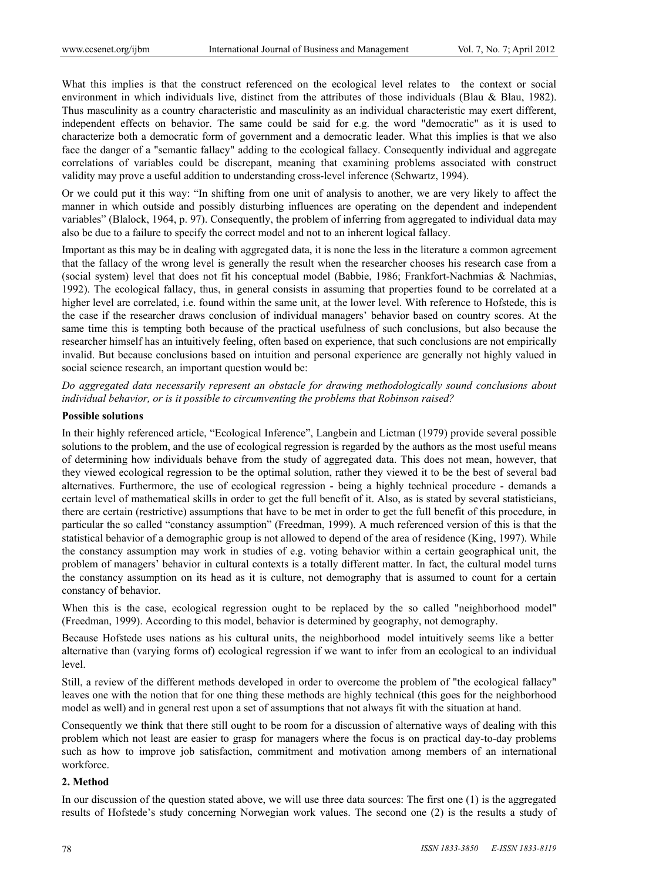What this implies is that the construct referenced on the ecological level relates to the context or social environment in which individuals live, distinct from the attributes of those individuals (Blau & Blau, 1982). Thus masculinity as a country characteristic and masculinity as an individual characteristic may exert different, independent effects on behavior. The same could be said for e.g. the word "democratic" as it is used to characterize both a democratic form of government and a democratic leader. What this implies is that we also face the danger of a "semantic fallacy" adding to the ecological fallacy. Consequently individual and aggregate correlations of variables could be discrepant, meaning that examining problems associated with construct validity may prove a useful addition to understanding cross-level inference (Schwartz, 1994).

Or we could put it this way: "In shifting from one unit of analysis to another, we are very likely to affect the manner in which outside and possibly disturbing influences are operating on the dependent and independent variables" (Blalock, 1964, p. 97). Consequently, the problem of inferring from aggregated to individual data may also be due to a failure to specify the correct model and not to an inherent logical fallacy.

Important as this may be in dealing with aggregated data, it is none the less in the literature a common agreement that the fallacy of the wrong level is generally the result when the researcher chooses his research case from a (social system) level that does not fit his conceptual model (Babbie, 1986; Frankfort-Nachmias & Nachmias, 1992). The ecological fallacy, thus, in general consists in assuming that properties found to be correlated at a higher level are correlated, i.e. found within the same unit, at the lower level. With reference to Hofstede, this is the case if the researcher draws conclusion of individual managers' behavior based on country scores. At the same time this is tempting both because of the practical usefulness of such conclusions, but also because the researcher himself has an intuitively feeling, often based on experience, that such conclusions are not empirically invalid. But because conclusions based on intuition and personal experience are generally not highly valued in social science research, an important question would be:

*Do aggregated data necessarily represent an obstacle for drawing methodologically sound conclusions about individual behavior, or is it possible to circumventing the problems that Robinson raised?* 

#### **Possible solutions**

In their highly referenced article, "Ecological Inference", Langbein and Lictman (1979) provide several possible solutions to the problem, and the use of ecological regression is regarded by the authors as the most useful means of determining how individuals behave from the study of aggregated data. This does not mean, however, that they viewed ecological regression to be the optimal solution, rather they viewed it to be the best of several bad alternatives. Furthermore, the use of ecological regression - being a highly technical procedure - demands a certain level of mathematical skills in order to get the full benefit of it. Also, as is stated by several statisticians, there are certain (restrictive) assumptions that have to be met in order to get the full benefit of this procedure, in particular the so called "constancy assumption" (Freedman, 1999). A much referenced version of this is that the statistical behavior of a demographic group is not allowed to depend of the area of residence (King, 1997). While the constancy assumption may work in studies of e.g. voting behavior within a certain geographical unit, the problem of managers' behavior in cultural contexts is a totally different matter. In fact, the cultural model turns the constancy assumption on its head as it is culture, not demography that is assumed to count for a certain constancy of behavior.

When this is the case, ecological regression ought to be replaced by the so called "neighborhood model" (Freedman, 1999). According to this model, behavior is determined by geography, not demography.

Because Hofstede uses nations as his cultural units, the neighborhood model intuitively seems like a better alternative than (varying forms of) ecological regression if we want to infer from an ecological to an individual level.

Still, a review of the different methods developed in order to overcome the problem of "the ecological fallacy" leaves one with the notion that for one thing these methods are highly technical (this goes for the neighborhood model as well) and in general rest upon a set of assumptions that not always fit with the situation at hand.

Consequently we think that there still ought to be room for a discussion of alternative ways of dealing with this problem which not least are easier to grasp for managers where the focus is on practical day-to-day problems such as how to improve job satisfaction, commitment and motivation among members of an international workforce.

## **2. Method**

In our discussion of the question stated above, we will use three data sources: The first one (1) is the aggregated results of Hofstede's study concerning Norwegian work values. The second one (2) is the results a study of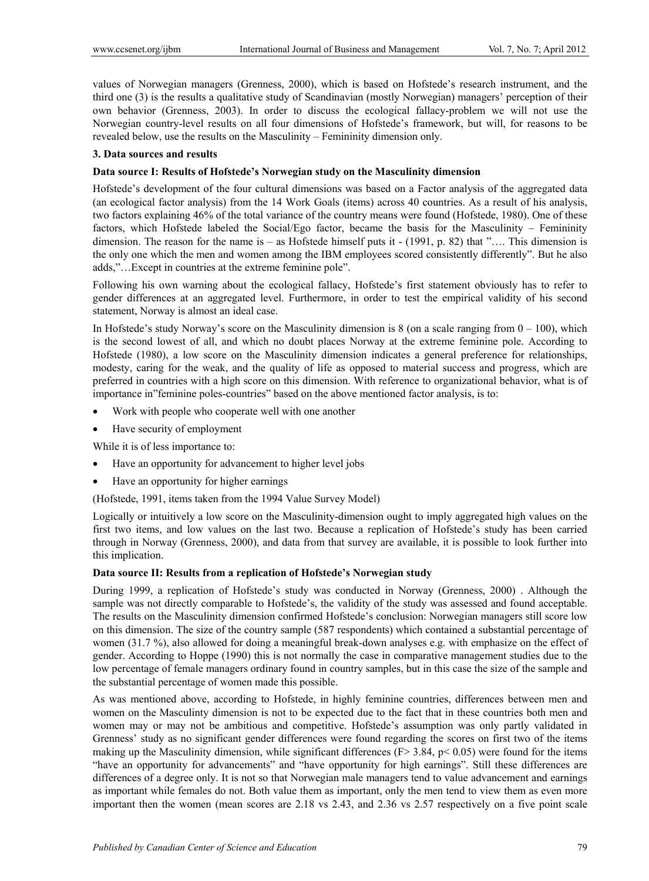values of Norwegian managers (Grenness, 2000), which is based on Hofstede's research instrument, and the third one (3) is the results a qualitative study of Scandinavian (mostly Norwegian) managers' perception of their own behavior (Grenness, 2003). In order to discuss the ecological fallacy-problem we will not use the Norwegian country-level results on all four dimensions of Hofstede's framework, but will, for reasons to be revealed below, use the results on the Masculinity – Femininity dimension only.

## **3. Data sources and results**

## **Data source I: Results of Hofstede's Norwegian study on the Masculinity dimension**

Hofstede's development of the four cultural dimensions was based on a Factor analysis of the aggregated data (an ecological factor analysis) from the 14 Work Goals (items) across 40 countries. As a result of his analysis, two factors explaining 46% of the total variance of the country means were found (Hofstede, 1980). One of these factors, which Hofstede labeled the Social/Ego factor, became the basis for the Masculinity – Femininity dimension. The reason for the name is – as Hofstede himself puts it - (1991, p. 82) that ".... This dimension is the only one which the men and women among the IBM employees scored consistently differently". But he also adds,"…Except in countries at the extreme feminine pole".

Following his own warning about the ecological fallacy, Hofstede's first statement obviously has to refer to gender differences at an aggregated level. Furthermore, in order to test the empirical validity of his second statement, Norway is almost an ideal case.

In Hofstede's study Norway's score on the Masculinity dimension is 8 (on a scale ranging from  $0 - 100$ ), which is the second lowest of all, and which no doubt places Norway at the extreme feminine pole. According to Hofstede (1980), a low score on the Masculinity dimension indicates a general preference for relationships, modesty, caring for the weak, and the quality of life as opposed to material success and progress, which are preferred in countries with a high score on this dimension. With reference to organizational behavior, what is of importance in"feminine poles-countries" based on the above mentioned factor analysis, is to:

- Work with people who cooperate well with one another
- Have security of employment

While it is of less importance to:

- Have an opportunity for advancement to higher level jobs
- Have an opportunity for higher earnings

(Hofstede, 1991, items taken from the 1994 Value Survey Model)

Logically or intuitively a low score on the Masculinity-dimension ought to imply aggregated high values on the first two items, and low values on the last two. Because a replication of Hofstede's study has been carried through in Norway (Grenness, 2000), and data from that survey are available, it is possible to look further into this implication.

## **Data source II: Results from a replication of Hofstede's Norwegian study**

During 1999, a replication of Hofstede's study was conducted in Norway (Grenness, 2000) . Although the sample was not directly comparable to Hofstede's, the validity of the study was assessed and found acceptable. The results on the Masculinity dimension confirmed Hofstede's conclusion: Norwegian managers still score low on this dimension. The size of the country sample (587 respondents) which contained a substantial percentage of women (31.7 %), also allowed for doing a meaningful break-down analyses e.g. with emphasize on the effect of gender. According to Hoppe (1990) this is not normally the case in comparative management studies due to the low percentage of female managers ordinary found in country samples, but in this case the size of the sample and the substantial percentage of women made this possible.

As was mentioned above, according to Hofstede, in highly feminine countries, differences between men and women on the Masculinty dimension is not to be expected due to the fact that in these countries both men and women may or may not be ambitious and competitive. Hofstede's assumption was only partly validated in Grenness' study as no significant gender differences were found regarding the scores on first two of the items making up the Masculinity dimension, while significant differences ( $F > 3.84$ ,  $p < 0.05$ ) were found for the items "have an opportunity for advancements" and "have opportunity for high earnings". Still these differences are differences of a degree only. It is not so that Norwegian male managers tend to value advancement and earnings as important while females do not. Both value them as important, only the men tend to view them as even more important then the women (mean scores are 2.18 vs 2.43, and 2.36 vs 2.57 respectively on a five point scale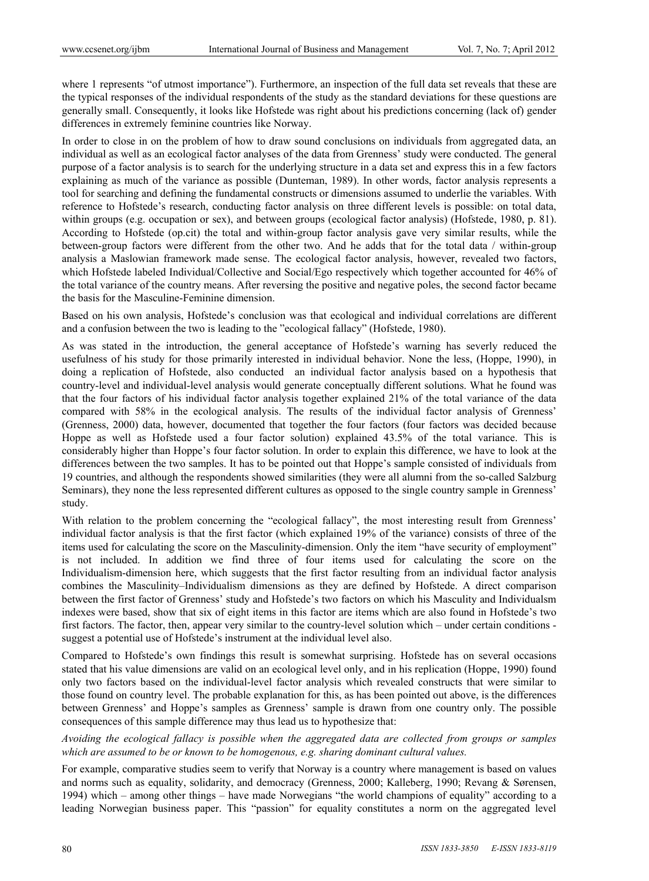where 1 represents "of utmost importance"). Furthermore, an inspection of the full data set reveals that these are the typical responses of the individual respondents of the study as the standard deviations for these questions are generally small. Consequently, it looks like Hofstede was right about his predictions concerning (lack of) gender differences in extremely feminine countries like Norway.

In order to close in on the problem of how to draw sound conclusions on individuals from aggregated data, an individual as well as an ecological factor analyses of the data from Grenness' study were conducted. The general purpose of a factor analysis is to search for the underlying structure in a data set and express this in a few factors explaining as much of the variance as possible (Dunteman, 1989). In other words, factor analysis represents a tool for searching and defining the fundamental constructs or dimensions assumed to underlie the variables. With reference to Hofstede's research, conducting factor analysis on three different levels is possible: on total data, within groups (e.g. occupation or sex), and between groups (ecological factor analysis) (Hofstede, 1980, p. 81). According to Hofstede (op.cit) the total and within-group factor analysis gave very similar results, while the between-group factors were different from the other two. And he adds that for the total data / within-group analysis a Maslowian framework made sense. The ecological factor analysis, however, revealed two factors, which Hofstede labeled Individual/Collective and Social/Ego respectively which together accounted for 46% of the total variance of the country means. After reversing the positive and negative poles, the second factor became the basis for the Masculine-Feminine dimension.

Based on his own analysis, Hofstede's conclusion was that ecological and individual correlations are different and a confusion between the two is leading to the "ecological fallacy" (Hofstede, 1980).

As was stated in the introduction, the general acceptance of Hofstede's warning has severly reduced the usefulness of his study for those primarily interested in individual behavior. None the less, (Hoppe, 1990), in doing a replication of Hofstede, also conducted an individual factor analysis based on a hypothesis that country-level and individual-level analysis would generate conceptually different solutions. What he found was that the four factors of his individual factor analysis together explained 21% of the total variance of the data compared with 58% in the ecological analysis. The results of the individual factor analysis of Grenness' (Grenness, 2000) data, however, documented that together the four factors (four factors was decided because Hoppe as well as Hofstede used a four factor solution) explained 43.5% of the total variance. This is considerably higher than Hoppe's four factor solution. In order to explain this difference, we have to look at the differences between the two samples. It has to be pointed out that Hoppe's sample consisted of individuals from 19 countries, and although the respondents showed similarities (they were all alumni from the so-called Salzburg Seminars), they none the less represented different cultures as opposed to the single country sample in Grenness' study.

With relation to the problem concerning the "ecological fallacy", the most interesting result from Grenness' individual factor analysis is that the first factor (which explained 19% of the variance) consists of three of the items used for calculating the score on the Masculinity-dimension. Only the item "have security of employment" is not included. In addition we find three of four items used for calculating the score on the Individualism-dimension here, which suggests that the first factor resulting from an individual factor analysis combines the Masculinity–Individualism dimensions as they are defined by Hofstede. A direct comparison between the first factor of Grenness' study and Hofstede's two factors on which his Masculity and Individualsm indexes were based, show that six of eight items in this factor are items which are also found in Hofstede's two first factors. The factor, then, appear very similar to the country-level solution which – under certain conditions suggest a potential use of Hofstede's instrument at the individual level also.

Compared to Hofstede's own findings this result is somewhat surprising. Hofstede has on several occasions stated that his value dimensions are valid on an ecological level only, and in his replication (Hoppe, 1990) found only two factors based on the individual-level factor analysis which revealed constructs that were similar to those found on country level. The probable explanation for this, as has been pointed out above, is the differences between Grenness' and Hoppe's samples as Grenness' sample is drawn from one country only. The possible consequences of this sample difference may thus lead us to hypothesize that:

*Avoiding the ecological fallacy is possible when the aggregated data are collected from groups or samples which are assumed to be or known to be homogenous, e.g. sharing dominant cultural values.* 

For example, comparative studies seem to verify that Norway is a country where management is based on values and norms such as equality, solidarity, and democracy (Grenness, 2000; Kalleberg, 1990; Revang & Sørensen, 1994) which – among other things – have made Norwegians "the world champions of equality" according to a leading Norwegian business paper. This "passion" for equality constitutes a norm on the aggregated level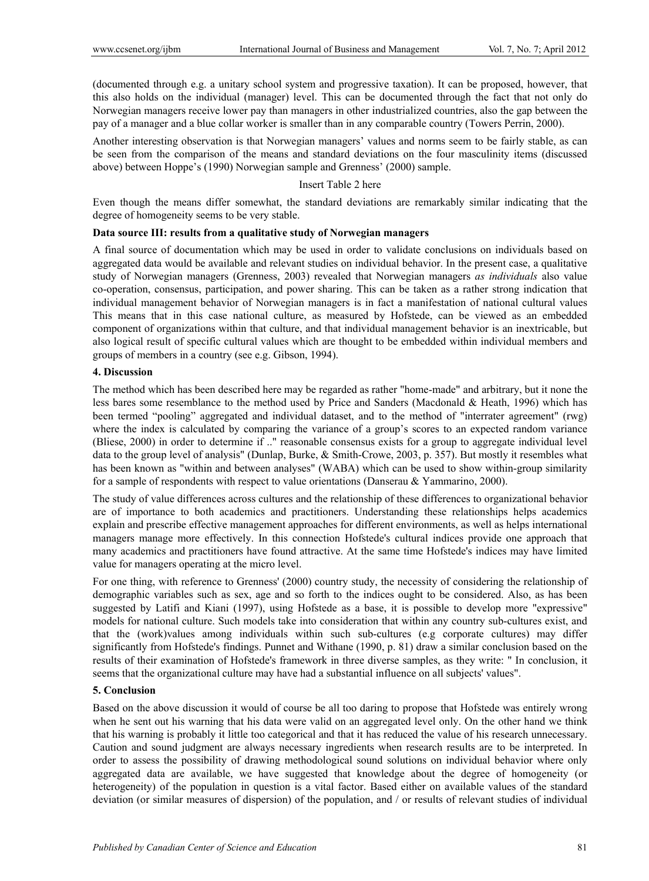(documented through e.g. a unitary school system and progressive taxation). It can be proposed, however, that this also holds on the individual (manager) level. This can be documented through the fact that not only do Norwegian managers receive lower pay than managers in other industrialized countries, also the gap between the pay of a manager and a blue collar worker is smaller than in any comparable country (Towers Perrin, 2000).

Another interesting observation is that Norwegian managers' values and norms seem to be fairly stable, as can be seen from the comparison of the means and standard deviations on the four masculinity items (discussed above) between Hoppe's (1990) Norwegian sample and Grenness' (2000) sample.

#### Insert Table 2 here

Even though the means differ somewhat, the standard deviations are remarkably similar indicating that the degree of homogeneity seems to be very stable.

#### **Data source III: results from a qualitative study of Norwegian managers**

A final source of documentation which may be used in order to validate conclusions on individuals based on aggregated data would be available and relevant studies on individual behavior. In the present case, a qualitative study of Norwegian managers (Grenness, 2003) revealed that Norwegian managers *as individuals* also value co-operation, consensus, participation, and power sharing. This can be taken as a rather strong indication that individual management behavior of Norwegian managers is in fact a manifestation of national cultural values This means that in this case national culture, as measured by Hofstede, can be viewed as an embedded component of organizations within that culture, and that individual management behavior is an inextricable, but also logical result of specific cultural values which are thought to be embedded within individual members and groups of members in a country (see e.g. Gibson, 1994).

#### **4. Discussion**

The method which has been described here may be regarded as rather "home-made" and arbitrary, but it none the less bares some resemblance to the method used by Price and Sanders (Macdonald & Heath, 1996) which has been termed "pooling" aggregated and individual dataset, and to the method of "interrater agreement" (rwg) where the index is calculated by comparing the variance of a group's scores to an expected random variance (Bliese, 2000) in order to determine if .." reasonable consensus exists for a group to aggregate individual level data to the group level of analysis" (Dunlap, Burke, & Smith-Crowe, 2003, p. 357). But mostly it resembles what has been known as "within and between analyses" (WABA) which can be used to show within-group similarity for a sample of respondents with respect to value orientations (Danserau & Yammarino, 2000).

The study of value differences across cultures and the relationship of these differences to organizational behavior are of importance to both academics and practitioners. Understanding these relationships helps academics explain and prescribe effective management approaches for different environments, as well as helps international managers manage more effectively. In this connection Hofstede's cultural indices provide one approach that many academics and practitioners have found attractive. At the same time Hofstede's indices may have limited value for managers operating at the micro level.

For one thing, with reference to Grenness' (2000) country study, the necessity of considering the relationship of demographic variables such as sex, age and so forth to the indices ought to be considered. Also, as has been suggested by Latifi and Kiani (1997), using Hofstede as a base, it is possible to develop more "expressive" models for national culture. Such models take into consideration that within any country sub-cultures exist, and that the (work)values among individuals within such sub-cultures (e.g corporate cultures) may differ significantly from Hofstede's findings. Punnet and Withane (1990, p. 81) draw a similar conclusion based on the results of their examination of Hofstede's framework in three diverse samples, as they write: " In conclusion, it seems that the organizational culture may have had a substantial influence on all subjects' values".

## **5. Conclusion**

Based on the above discussion it would of course be all too daring to propose that Hofstede was entirely wrong when he sent out his warning that his data were valid on an aggregated level only. On the other hand we think that his warning is probably it little too categorical and that it has reduced the value of his research unnecessary. Caution and sound judgment are always necessary ingredients when research results are to be interpreted. In order to assess the possibility of drawing methodological sound solutions on individual behavior where only aggregated data are available, we have suggested that knowledge about the degree of homogeneity (or heterogeneity) of the population in question is a vital factor. Based either on available values of the standard deviation (or similar measures of dispersion) of the population, and / or results of relevant studies of individual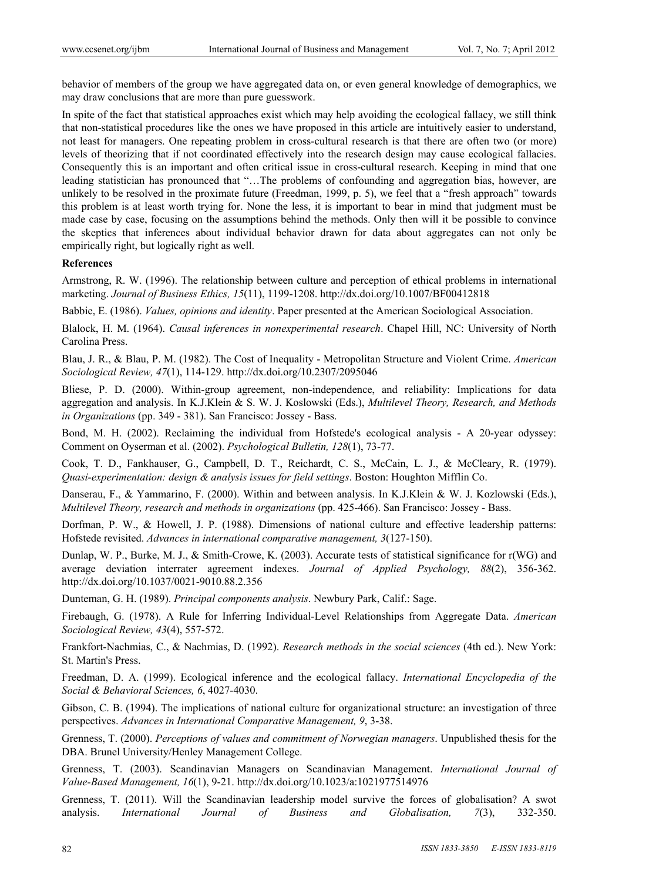behavior of members of the group we have aggregated data on, or even general knowledge of demographics, we may draw conclusions that are more than pure guesswork.

In spite of the fact that statistical approaches exist which may help avoiding the ecological fallacy, we still think that non-statistical procedures like the ones we have proposed in this article are intuitively easier to understand, not least for managers. One repeating problem in cross-cultural research is that there are often two (or more) levels of theorizing that if not coordinated effectively into the research design may cause ecological fallacies. Consequently this is an important and often critical issue in cross-cultural research. Keeping in mind that one leading statistician has pronounced that "…The problems of confounding and aggregation bias, however, are unlikely to be resolved in the proximate future (Freedman, 1999, p. 5), we feel that a "fresh approach" towards this problem is at least worth trying for. None the less, it is important to bear in mind that judgment must be made case by case, focusing on the assumptions behind the methods. Only then will it be possible to convince the skeptics that inferences about individual behavior drawn for data about aggregates can not only be empirically right, but logically right as well.

#### **References**

Armstrong, R. W. (1996). The relationship between culture and perception of ethical problems in international marketing. *Journal of Business Ethics, 15*(11), 1199-1208. http://dx.doi.org/10.1007/BF00412818

Babbie, E. (1986). *Values, opinions and identity*. Paper presented at the American Sociological Association.

Blalock, H. M. (1964). *Causal inferences in nonexperimental research*. Chapel Hill, NC: University of North Carolina Press.

Blau, J. R., & Blau, P. M. (1982). The Cost of Inequality - Metropolitan Structure and Violent Crime. *American Sociological Review, 47*(1), 114-129. http://dx.doi.org/10.2307/2095046

Bliese, P. D. (2000). Within-group agreement, non-independence, and reliability: Implications for data aggregation and analysis. In K.J.Klein & S. W. J. Koslowski (Eds.), *Multilevel Theory, Research, and Methods in Organizations* (pp. 349 - 381). San Francisco: Jossey - Bass.

Bond, M. H. (2002). Reclaiming the individual from Hofstede's ecological analysis - A 20-year odyssey: Comment on Oyserman et al. (2002). *Psychological Bulletin, 128*(1), 73-77.

Cook, T. D., Fankhauser, G., Campbell, D. T., Reichardt, C. S., McCain, L. J., & McCleary, R. (1979). *Quasi-experimentation: design & analysis issues for field settings*. Boston: Houghton Mifflin Co.

Danserau, F., & Yammarino, F. (2000). Within and between analysis. In K.J.Klein & W. J. Kozlowski (Eds.), *Multilevel Theory, research and methods in organizations* (pp. 425-466). San Francisco: Jossey - Bass.

Dorfman, P. W., & Howell, J. P. (1988). Dimensions of national culture and effective leadership patterns: Hofstede revisited. *Advances in international comparative management, 3*(127-150).

Dunlap, W. P., Burke, M. J., & Smith-Crowe, K. (2003). Accurate tests of statistical significance for r(WG) and average deviation interrater agreement indexes. *Journal of Applied Psychology, 88*(2), 356-362. http://dx.doi.org/10.1037/0021-9010.88.2.356

Dunteman, G. H. (1989). *Principal components analysis*. Newbury Park, Calif.: Sage.

Firebaugh, G. (1978). A Rule for Inferring Individual-Level Relationships from Aggregate Data. *American Sociological Review, 43*(4), 557-572.

Frankfort-Nachmias, C., & Nachmias, D. (1992). *Research methods in the social sciences* (4th ed.). New York: St. Martin's Press.

Freedman, D. A. (1999). Ecological inference and the ecological fallacy. *International Encyclopedia of the Social & Behavioral Sciences, 6*, 4027-4030.

Gibson, C. B. (1994). The implications of national culture for organizational structure: an investigation of three perspectives. *Advances in International Comparative Management, 9*, 3-38.

Grenness, T. (2000). *Perceptions of values and commitment of Norwegian managers*. Unpublished thesis for the DBA. Brunel University/Henley Management College.

Grenness, T. (2003). Scandinavian Managers on Scandinavian Management. *International Journal of Value-Based Management, 16*(1), 9-21. http://dx.doi.org/10.1023/a:1021977514976

Grenness, T. (2011). Will the Scandinavian leadership model survive the forces of globalisation? A swot analysis. *International Journal of Business and Globalisation, 7*(3), 332-350.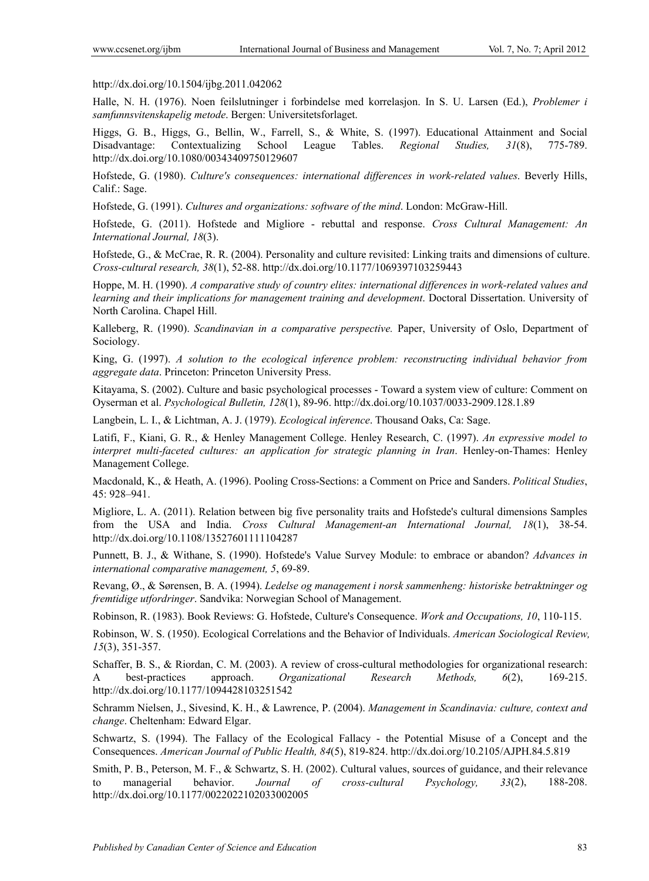http://dx.doi.org/10.1504/ijbg.2011.042062

Halle, N. H. (1976). Noen feilslutninger i forbindelse med korrelasjon. In S. U. Larsen (Ed.), *Problemer i samfunnsvitenskapelig metode*. Bergen: Universitetsforlaget.

Higgs, G. B., Higgs, G., Bellin, W., Farrell, S., & White, S. (1997). Educational Attainment and Social Disadvantage: Contextualizing School League Tables. *Regional Studies, 31*(8), 775-789. http://dx.doi.org/10.1080/00343409750129607

Hofstede, G. (1980). *Culture's consequences: international differences in work-related values*. Beverly Hills, Calif.: Sage.

Hofstede, G. (1991). *Cultures and organizations: software of the mind*. London: McGraw-Hill.

Hofstede, G. (2011). Hofstede and Migliore - rebuttal and response. *Cross Cultural Management: An International Journal, 18*(3).

Hofstede, G., & McCrae, R. R. (2004). Personality and culture revisited: Linking traits and dimensions of culture. *Cross-cultural research, 38*(1), 52-88. http://dx.doi.org/10.1177/1069397103259443

Hoppe, M. H. (1990). *A comparative study of country elites: international differences in work-related values and learning and their implications for management training and development*. Doctoral Dissertation. University of North Carolina. Chapel Hill.

Kalleberg, R. (1990). *Scandinavian in a comparative perspective.* Paper, University of Oslo, Department of Sociology.

King, G. (1997). *A solution to the ecological inference problem: reconstructing individual behavior from aggregate data*. Princeton: Princeton University Press.

Kitayama, S. (2002). Culture and basic psychological processes - Toward a system view of culture: Comment on Oyserman et al. *Psychological Bulletin, 128*(1), 89-96. http://dx.doi.org/10.1037/0033-2909.128.1.89

Langbein, L. I., & Lichtman, A. J. (1979). *Ecological inference*. Thousand Oaks, Ca: Sage.

Latifi, F., Kiani, G. R., & Henley Management College. Henley Research, C. (1997). *An expressive model to interpret multi-faceted cultures: an application for strategic planning in Iran*. Henley-on-Thames: Henley Management College.

Macdonald, K., & Heath, A. (1996). Pooling Cross-Sections: a Comment on Price and Sanders. *Political Studies*, 45: 928–941.

Migliore, L. A. (2011). Relation between big five personality traits and Hofstede's cultural dimensions Samples from the USA and India. *Cross Cultural Management-an International Journal, 18*(1), 38-54. http://dx.doi.org/10.1108/13527601111104287

Punnett, B. J., & Withane, S. (1990). Hofstede's Value Survey Module: to embrace or abandon? *Advances in international comparative management, 5*, 69-89.

Revang, Ø., & Sørensen, B. A. (1994). *Ledelse og management i norsk sammenheng: historiske betraktninger og fremtidige utfordringer*. Sandvika: Norwegian School of Management.

Robinson, R. (1983). Book Reviews: G. Hofstede, Culture's Consequence. *Work and Occupations, 10*, 110-115.

Robinson, W. S. (1950). Ecological Correlations and the Behavior of Individuals. *American Sociological Review, 15*(3), 351-357.

Schaffer, B. S., & Riordan, C. M. (2003). A review of cross-cultural methodologies for organizational research: A best-practices approach. *Organizational Research Methods, 6*(2), 169-215. http://dx.doi.org/10.1177/1094428103251542

Schramm Nielsen, J., Sivesind, K. H., & Lawrence, P. (2004). *Management in Scandinavia: culture, context and change*. Cheltenham: Edward Elgar.

Schwartz, S. (1994). The Fallacy of the Ecological Fallacy - the Potential Misuse of a Concept and the Consequences. *American Journal of Public Health, 84*(5), 819-824. http://dx.doi.org/10.2105/AJPH.84.5.819

Smith, P. B., Peterson, M. F., & Schwartz, S. H. (2002). Cultural values, sources of guidance, and their relevance to managerial behavior. *Journal of cross-cultural Psychology, 33*(2), 188-208. http://dx.doi.org/10.1177/0022022102033002005